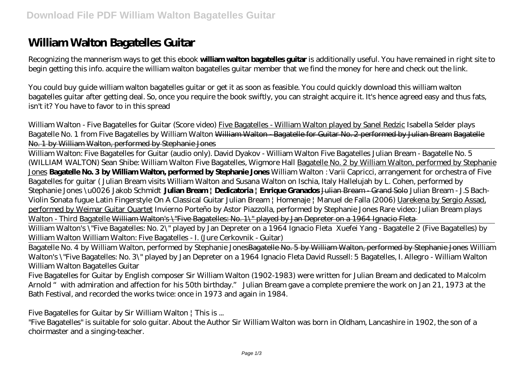# **William Walton Bagatelles Guitar**

Recognizing the mannerism ways to get this ebook **william walton bagatelles guitar** is additionally useful. You have remained in right site to begin getting this info. acquire the william walton bagatelles guitar member that we find the money for here and check out the link.

You could buy guide william walton bagatelles guitar or get it as soon as feasible. You could quickly download this william walton bagatelles guitar after getting deal. So, once you require the book swiftly, you can straight acquire it. It's hence agreed easy and thus fats, isn't it? You have to favor to in this spread

William Walton - Five Bagatelles for Guitar (Score video) Five Bagatelles - William Walton played by Sanel Redzic *Isabella Selder plays Bagatelle No. 1 from Five Bagatelles by William Walton* William Walton - Bagatelle for Guitar No. 2 performed by Julian Bream Bagatelle No. 1 by William Walton, performed by Stephanie Jones

William Walton: Five Bagatelles for Guitar (audio only). David Dyakov - William Walton Five Bagatelles Julian Bream - Bagatelle No. 5 (WILLIAM WALTON) Sean Shibe: William Walton Five Bagatelles, Wigmore Hall Bagatelle No. 2 by William Walton, performed by Stephanie Jones **Bagatelle No. 3 by William Walton, performed by Stephanie Jones** *William Walton : Varii Capricci, arrangement for orchestra of Five Bagatelles for guitar (* Julian Bream visits William Walton and Susana Walton on Ischia, Italy Hallelujah by L. Cohen, performed by Stephanie Jones \u0026 Jakob Schmidt **Julian Bream | Dedicatoria | Enrique Granados** Julian Bream - Grand Solo *Julian Bream - J.S Bach-Violin Sonata fugue Latin Fingerstyle On A Classical Guitar Julian Bream | Homenaje | Manuel de Falla (2006)* Uarekena by Sergio Assad, performed by Weimar Guitar Quartet *Invierno Porteño by Astor Piazzolla, performed by Stephanie Jones Rare video: Julian Bream plays Walton - Third Bagatelle* William Walton's \"Five Bagatelles: No. 1\" played by Jan Depreter on a 1964 Ignacio Fleta

William Walton's \"Five Bagatelles: No. 2\" played by Jan Depreter on a 1964 Ignacio Fleta Xuefei Yang - Bagatelle 2 (Five Bagatelles) by William Walton William Walton: Five Bagatelles - I. (Jure Cerkovnik - Guitar)

Bagatelle No. 4 by William Walton, performed by Stephanie JonesBagatelle No. 5 by William Walton, performed by Stephanie Jones William Walton's \"Five Bagatelles: No. 3\" played by Jan Depreter on a 1964 Ignacio Fleta David Russell: 5 Bagatelles, I. Allegro - William Walton *William Walton Bagatelles Guitar*

Five Bagatelles for Guitar by English composer Sir William Walton (1902-1983) were written for Julian Bream and dedicated to Malcolm Arnold "with admiration and affection for his 50th birthday." Julian Bream gave a complete premiere the work on Jan 21, 1973 at the Bath Festival, and recorded the works twice: once in 1973 and again in 1984.

*Five Bagatelles for Guitar by Sir William Walton | This is ...*

"Five Bagatelles" is suitable for solo guitar. About the Author Sir William Walton was born in Oldham, Lancashire in 1902, the son of a choirmaster and a singing-teacher.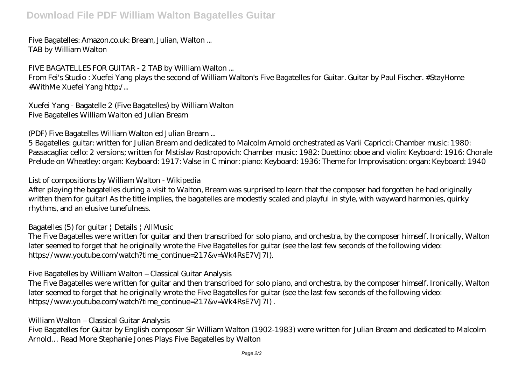# **Download File PDF William Walton Bagatelles Guitar**

#### *Five Bagatelles: Amazon.co.uk: Bream, Julian, Walton ...* TAB by William Walton

# *FIVE BAGATELLES FOR GUITAR - 2 TAB by William Walton ...*

From Fei's Studio : Xuefei Yang plays the second of William Walton's Five Bagatelles for Guitar. Guitar by Paul Fischer. #StayHome #WithMe Xuefei Yang http:/...

*Xuefei Yang - Bagatelle 2 (Five Bagatelles) by William Walton* Five Bagatelles William Walton ed Julian Bream

# *(PDF) Five Bagatelles William Walton ed Julian Bream ...*

5 Bagatelles: guitar: written for Julian Bream and dedicated to Malcolm Arnold orchestrated as Varii Capricci: Chamber music: 1980: Passacaglia: cello: 2 versions; written for Mstislav Rostropovich: Chamber music: 1982: Duettino: oboe and violin: Keyboard: 1916: Chorale Prelude on Wheatley: organ: Keyboard: 1917: Valse in C minor: piano: Keyboard: 1936: Theme for Improvisation: organ: Keyboard: 1940

# *List of compositions by William Walton - Wikipedia*

After playing the bagatelles during a visit to Walton, Bream was surprised to learn that the composer had forgotten he had originally written them for guitar! As the title implies, the bagatelles are modestly scaled and playful in style, with wayward harmonies, quirky rhythms, and an elusive tunefulness.

# *Bagatelles (5) for guitar | Details | AllMusic*

The Five Bagatelles were written for guitar and then transcribed for solo piano, and orchestra, by the composer himself. Ironically, Walton later seemed to forget that he originally wrote the Five Bagatelles for guitar (see the last few seconds of the following video: https://www.youtube.com/watch?time\_continue=217&v=Wk4RsE7VJ7I).

# *Five Bagatelles by William Walton – Classical Guitar Analysis*

The Five Bagatelles were written for guitar and then transcribed for solo piano, and orchestra, by the composer himself. Ironically, Walton later seemed to forget that he originally wrote the Five Bagatelles for guitar (see the last few seconds of the following video: https://www.youtube.com/watch?time\_continue=217&v=Wk4RsE7VJ7I).

# *William Walton – Classical Guitar Analysis*

Five Bagatelles for Guitar by English composer Sir William Walton (1902-1983) were written for Julian Bream and dedicated to Malcolm Arnold… Read More Stephanie Jones Plays Five Bagatelles by Walton